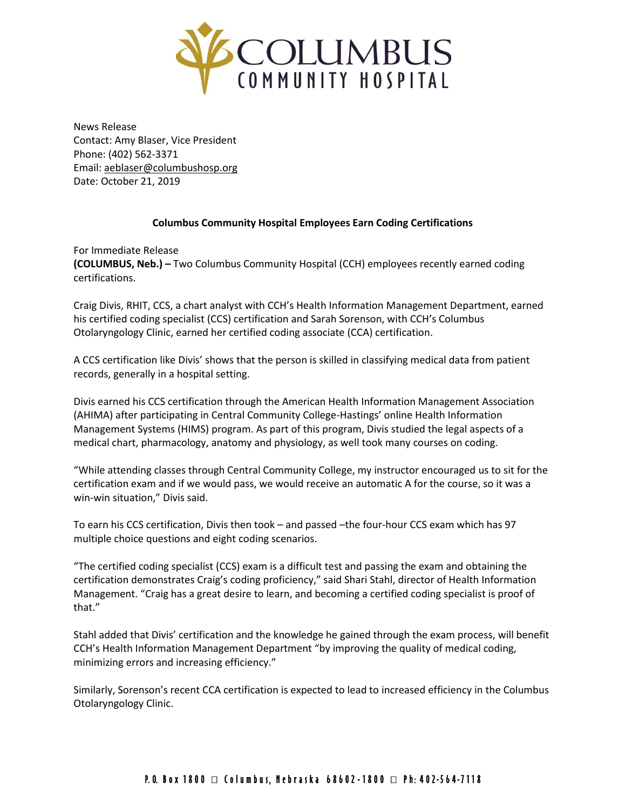

News Release Contact: Amy Blaser, Vice President Phone: (402) 562-3371 Email: [aeblaser@columbushosp.org](mailto:aeblaser@columbushosp.org) Date: October 21, 2019

## **Columbus Community Hospital Employees Earn Coding Certifications**

For Immediate Release **(COLUMBUS, Neb.) –** Two Columbus Community Hospital (CCH) employees recently earned coding certifications.

Craig Divis, RHIT, CCS, a chart analyst with CCH's Health Information Management Department, earned his certified coding specialist (CCS) certification and Sarah Sorenson, with CCH's Columbus Otolaryngology Clinic, earned her certified coding associate (CCA) certification.

A CCS certification like Divis' shows that the person is skilled in classifying medical data from patient records, generally in a hospital setting.

Divis earned his CCS certification through the American Health Information Management Association (AHIMA) after participating in Central Community College-Hastings' online Health Information Management Systems (HIMS) program. As part of this program, Divis studied the legal aspects of a medical chart, pharmacology, anatomy and physiology, as well took many courses on coding.

"While attending classes through Central Community College, my instructor encouraged us to sit for the certification exam and if we would pass, we would receive an automatic A for the course, so it was a win-win situation," Divis said.

To earn his CCS certification, Divis then took – and passed –the four-hour CCS exam which has 97 multiple choice questions and eight coding scenarios.

"The certified coding specialist (CCS) exam is a difficult test and passing the exam and obtaining the certification demonstrates Craig's coding proficiency," said Shari Stahl, director of Health Information Management. "Craig has a great desire to learn, and becoming a certified coding specialist is proof of that."

Stahl added that Divis' certification and the knowledge he gained through the exam process, will benefit CCH's Health Information Management Department "by improving the quality of medical coding, minimizing errors and increasing efficiency."

Similarly, Sorenson's recent CCA certification is expected to lead to increased efficiency in the Columbus Otolaryngology Clinic.